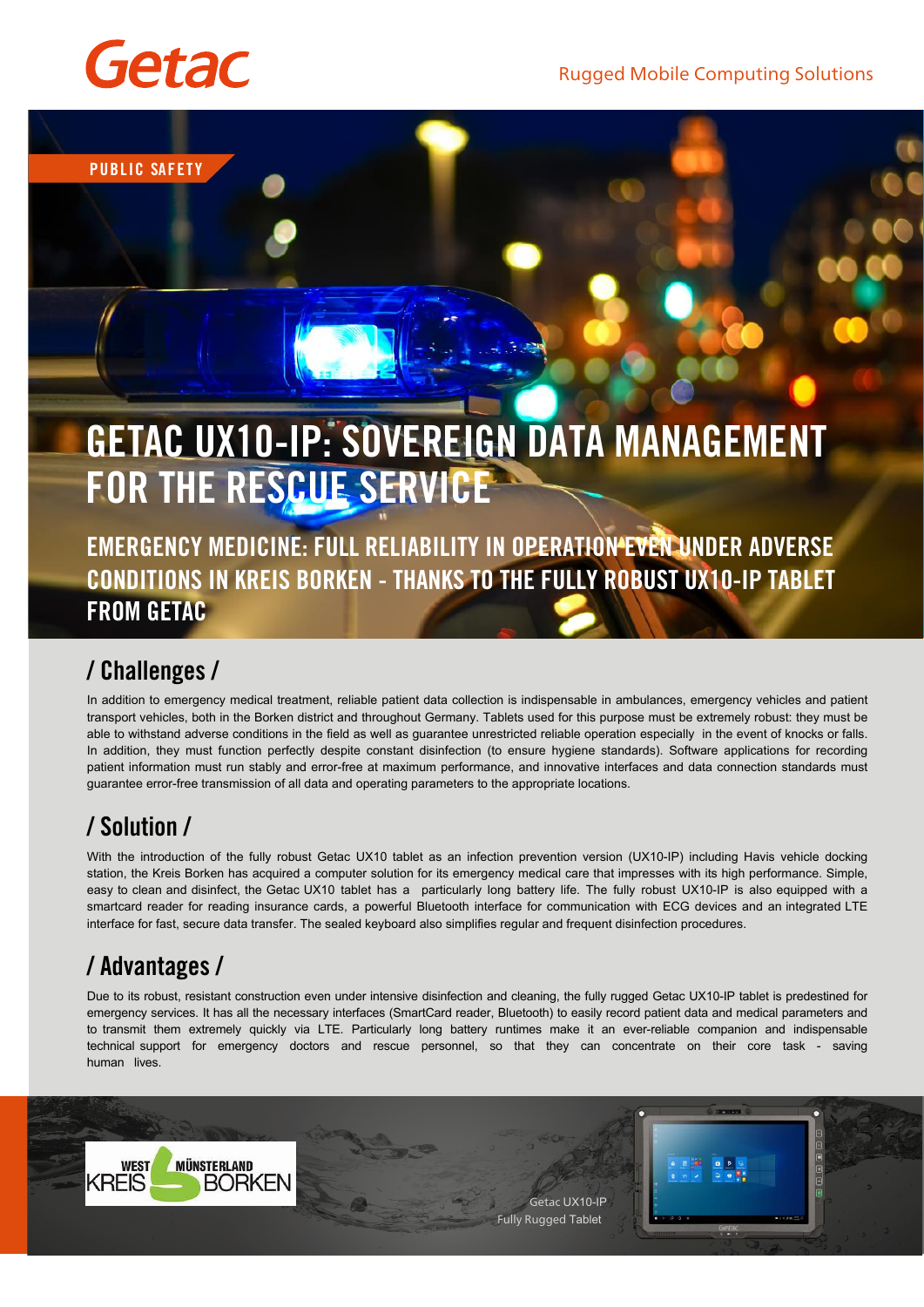Rugged Mobile Computing Solutions



**PUBLIC SAFETY**

# **GETAC UX10-IP: SOVEREIGN DATA MANAGEMENT FOR THE RESCUE SERVICE**

**EMERGENCY MEDICINE: FULL RELIABILITY IN OPERATION EVEN UNDER ADVERSE CONDITIONS IN KREIS BORKEN - THANKS TO THE FULLY ROBUST UX10-IP TABLET FROM GETAC**

### / **Challenges** /

In addition to emergency medical treatment, reliable patient data collection is indispensable in ambulances, emergency vehicles and patient transport vehicles, both in the Borken district and throughout Germany. Tablets used for this purpose must be extremely robust: they must be able to withstand adverse conditions in the field as well as guarantee unrestricted reliable operation especially in the event of knocks or falls. In addition, they must function perfectly despite constant disinfection (to ensure hygiene standards). Software applications for recording patient information must run stably and error-free at maximum performance, and innovative interfaces and data connection standards must guarantee error-free transmission of all data and operating parameters to the appropriate locations.

## / **Solution** /

With the introduction of the fully robust Getac UX10 tablet as an infection prevention version (UX10-IP) including Havis vehicle docking station, the Kreis Borken has acquired a computer solution for its emergency medical care that impresses with its high performance. Simple, easy to clean and disinfect, the Getac UX10 tablet has a particularly long battery life. The fully robust UX10-IP is also equipped with a smartcard reader for reading insurance cards, a powerful Bluetooth interface for communication with ECG devices and an integrated LTE interface for fast, secure data transfer. The sealed keyboard also simplifies regular and frequent disinfection procedures.

## / **Advantages** /

Due to its robust, resistant construction even under intensive disinfection and cleaning, the fully rugged Getac UX10-IP tablet is predestined for emergency services. It has all the necessary interfaces (SmartCard reader, Bluetooth) to easily record patient data and medical parameters and to transmit them extremely quickly via LTE. Particularly long battery runtimes make it an ever-reliable companion and indispensable technical support for emergency doctors and rescue personnel, so that they can concentrate on their core task - saving human lives.

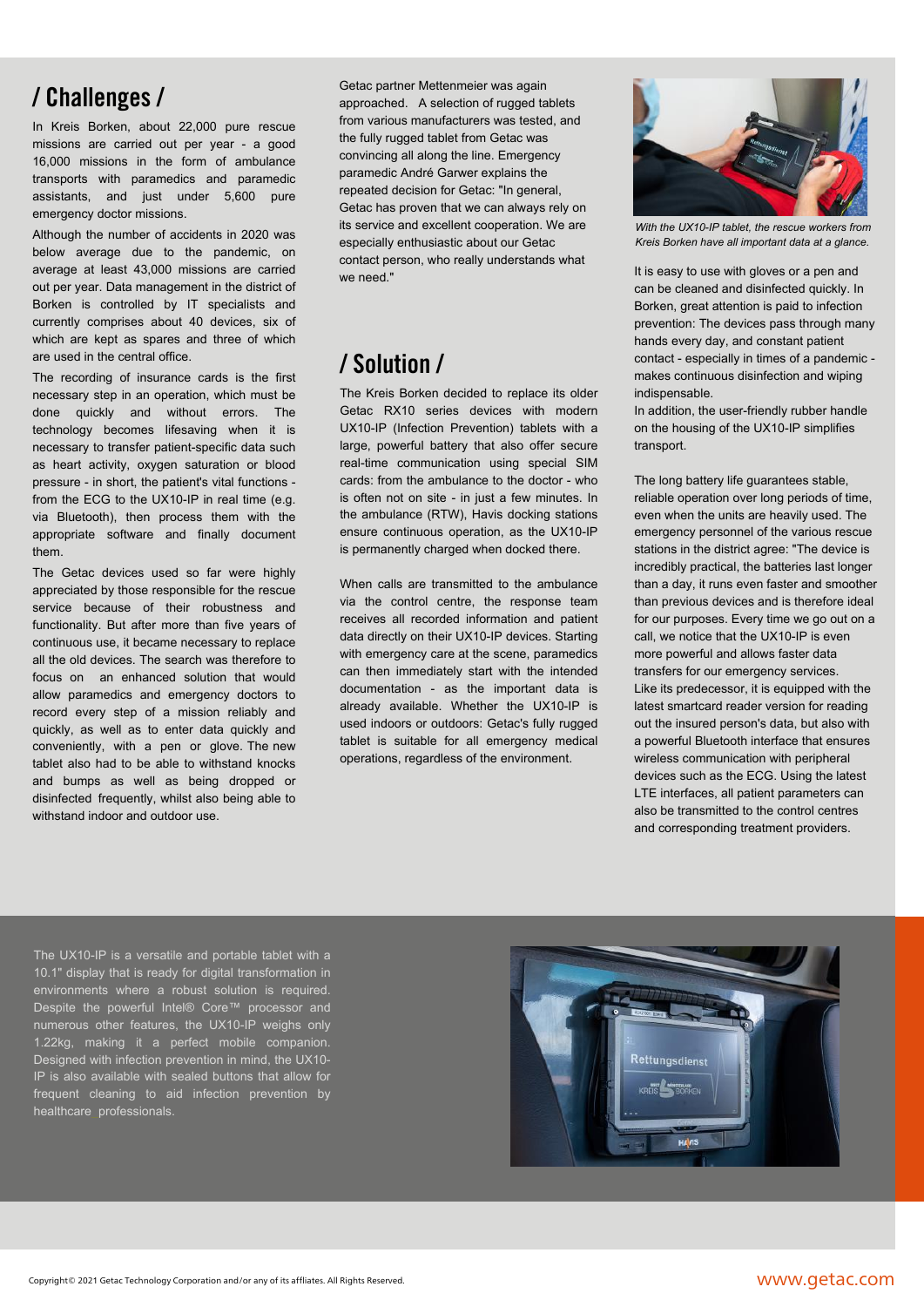In Kreis Borken, about 22,000 pure rescue missions are carried out per year - a good 16,000 missions in the form of ambulance transports with paramedics and paramedic assistants, and just under 5,600 pure emergency doctor missions.

Although the number of accidents in 2020 was below average due to the pandemic, on average at least 43,000 missions are carried out per year. Data management in the district of Borken is controlled by IT specialists and currently comprises about 40 devices, six of which are kept as spares and three of which are used in the central office.

The recording of insurance cards is the first necessary step in an operation, which must be done quickly and without errors. The technology becomes lifesaving when it is necessary to transfer patient-specific data such as heart activity, oxygen saturation or blood pressure - in short, the patient's vital functions from the ECG to the UX10-IP in real time (e.g. via Bluetooth), then process them with the appropriate software and finally document them.

The Getac devices used so far were highly appreciated by those responsible for the rescue service because of their robustness and functionality. But after more than five years of continuous use, it became necessary to replace all the old devices. The search was therefore to focus on an enhanced solution that would allow paramedics and emergency doctors to record every step of a mission reliably and quickly, as well as to enter data quickly and conveniently, with a pen or glove. The new tablet also had to be able to withstand knocks and bumps as well as being dropped or disinfected frequently, whilst also being able to withstand indoor and outdoor use.

Getac partner Mettenmeier was again approached. A selection of rugged tablets from various manufacturers was tested, and the fully rugged tablet from Getac was convincing all along the line. Emergency paramedic André Garwer explains the repeated decision for Getac: "In general, Getac has proven that we can always rely on its service and excellent cooperation. We are especially enthusiastic about our Getac contact person, who really understands what we need."

## / **Solution** /

The Kreis Borken decided to replace its older Getac RX10 series devices with modern UX10-IP (Infection Prevention) tablets with a large, powerful battery that also offer secure real-time communication using special SIM cards: from the ambulance to the doctor - who is often not on site - in just a few minutes. In the ambulance (RTW), Havis docking stations ensure continuous operation, as the UX10-IP is permanently charged when docked there.

When calls are transmitted to the ambulance via the control centre, the response team receives all recorded information and patient data directly on their UX10-IP devices. Starting with emergency care at the scene, paramedics can then immediately start with the intended documentation - as the important data is already available. Whether the UX10-IP is used indoors or outdoors: Getac's fully rugged tablet is suitable for all emergency medical operations, regardless of the environment.



*With the UX10-IP tablet, the rescue workers from Kreis Borken have all important data at a glance.* 

It is easy to use with gloves or a pen and can be cleaned and disinfected quickly. In Borken, great attention is paid to infection prevention: The devices pass through many hands every day, and constant patient contact - especially in times of a pandemic makes continuous disinfection and wiping indispensable.

In addition, the user-friendly rubber handle on the housing of the UX10-IP simplifies transport.

The long battery life guarantees stable, reliable operation over long periods of time, even when the units are heavily used. The emergency personnel of the various rescue stations in the district agree: "The device is incredibly practical, the batteries last longer than a day, it runs even faster and smoother than previous devices and is therefore ideal for our purposes. Every time we go out on a call, we notice that the UX10-IP is even more powerful and allows faster data transfers for our emergency services. Like its predecessor, it is equipped with the latest smartcard reader version for reading out the insured person's data, but also with a powerful Bluetooth interface that ensures wireless communication with peripheral devices such as the ECG. Using the latest LTE interfaces, all patient parameters can also be transmitted to the control centres and corresponding treatment providers.

The UX10-IP is a versatile and portable tablet with a 10.1" display that is ready for digital transformation in environments where a robust solution is required. Despite the powerful Intel® Core™ processor and numerous other features, the UX10-IP weighs only 1.22kg, making it a perfect mobile companion. Designed with infection prevention in mind, the UX10- IP is also available with sealed buttons that allow for frequent cleaning to aid infection prevention by healthcare professionals.